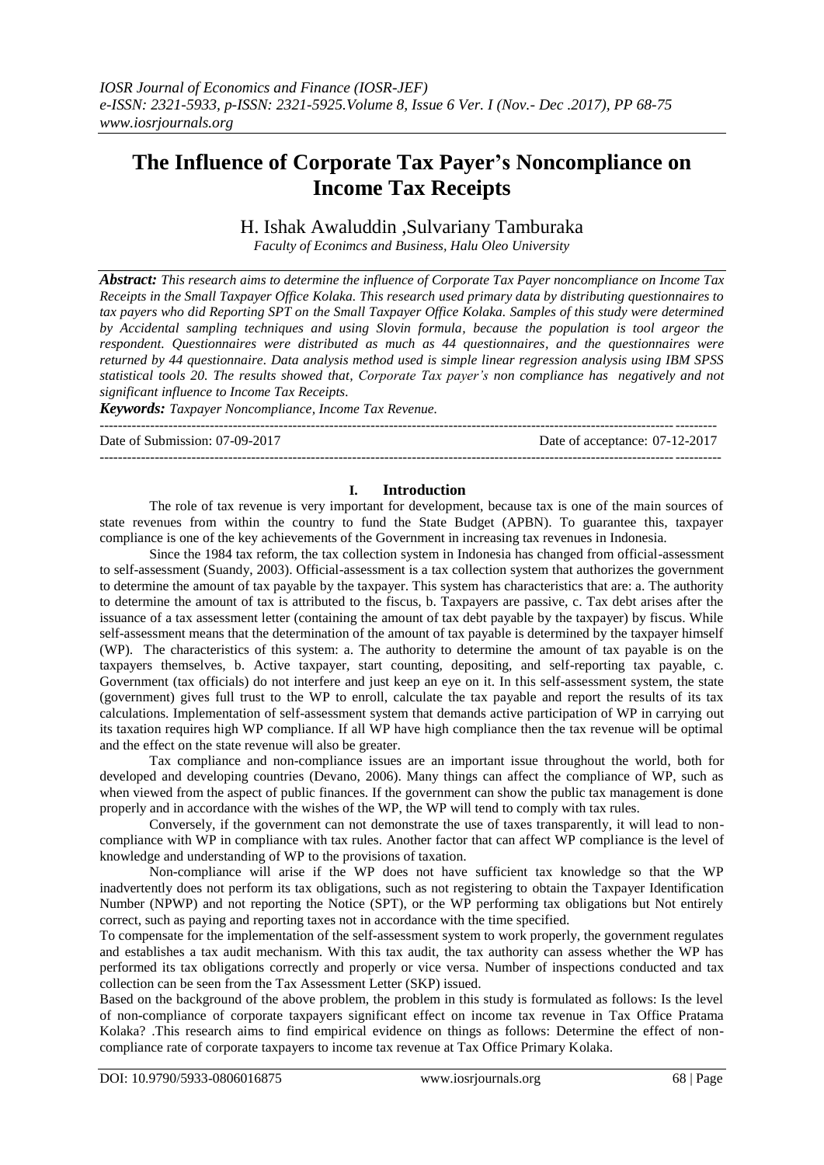# **The Influence of Corporate Tax Payer's Noncompliance on Income Tax Receipts**

# H. Ishak Awaluddin ,Sulvariany Tamburaka

*Faculty of Econimcs and Business, Halu Oleo University*

*Abstract: This research aims to determine the influence of Corporate Tax Payer noncompliance on Income Tax Receipts in the Small Taxpayer Office Kolaka. This research used primary data by distributing questionnaires to tax payers who did Reporting SPT on the Small Taxpayer Office Kolaka. Samples of this study were determined by Accidental sampling techniques and using Slovin formula, because the population is tool argeor the respondent. Questionnaires were distributed as much as 44 questionnaires, and the questionnaires were returned by 44 questionnaire. Data analysis method used is simple linear regression analysis using IBM SPSS statistical tools 20. The results showed that, Corporate Tax payer's non compliance has negatively and not significant influence to Income Tax Receipts.*

*Keywords: Taxpayer Noncompliance, Income Tax Revenue.*

-------------------------------------------------------------------------------------------------------------------------------------- Date of Submission: 07-09-2017 Date of acceptance: 07-12-2017 ---------------------------------------------------------------------------------------------------------------------------------------

# **I. Introduction**

The role of tax revenue is very important for development, because tax is one of the main sources of state revenues from within the country to fund the State Budget (APBN). To guarantee this, taxpayer compliance is one of the key achievements of the Government in increasing tax revenues in Indonesia.

Since the 1984 tax reform, the tax collection system in Indonesia has changed from official-assessment to self-assessment (Suandy, 2003). Official-assessment is a tax collection system that authorizes the government to determine the amount of tax payable by the taxpayer. This system has characteristics that are: a. The authority to determine the amount of tax is attributed to the fiscus, b. Taxpayers are passive, c. Tax debt arises after the issuance of a tax assessment letter (containing the amount of tax debt payable by the taxpayer) by fiscus. While self-assessment means that the determination of the amount of tax payable is determined by the taxpayer himself (WP). The characteristics of this system: a. The authority to determine the amount of tax payable is on the taxpayers themselves, b. Active taxpayer, start counting, depositing, and self-reporting tax payable, c. Government (tax officials) do not interfere and just keep an eye on it. In this self-assessment system, the state (government) gives full trust to the WP to enroll, calculate the tax payable and report the results of its tax calculations. Implementation of self-assessment system that demands active participation of WP in carrying out its taxation requires high WP compliance. If all WP have high compliance then the tax revenue will be optimal and the effect on the state revenue will also be greater.

Tax compliance and non-compliance issues are an important issue throughout the world, both for developed and developing countries (Devano, 2006). Many things can affect the compliance of WP, such as when viewed from the aspect of public finances. If the government can show the public tax management is done properly and in accordance with the wishes of the WP, the WP will tend to comply with tax rules.

Conversely, if the government can not demonstrate the use of taxes transparently, it will lead to noncompliance with WP in compliance with tax rules. Another factor that can affect WP compliance is the level of knowledge and understanding of WP to the provisions of taxation.

Non-compliance will arise if the WP does not have sufficient tax knowledge so that the WP inadvertently does not perform its tax obligations, such as not registering to obtain the Taxpayer Identification Number (NPWP) and not reporting the Notice (SPT), or the WP performing tax obligations but Not entirely correct, such as paying and reporting taxes not in accordance with the time specified.

To compensate for the implementation of the self-assessment system to work properly, the government regulates and establishes a tax audit mechanism. With this tax audit, the tax authority can assess whether the WP has performed its tax obligations correctly and properly or vice versa. Number of inspections conducted and tax collection can be seen from the Tax Assessment Letter (SKP) issued.

Based on the background of the above problem, the problem in this study is formulated as follows: Is the level of non-compliance of corporate taxpayers significant effect on income tax revenue in Tax Office Pratama Kolaka? .This research aims to find empirical evidence on things as follows: Determine the effect of noncompliance rate of corporate taxpayers to income tax revenue at Tax Office Primary Kolaka.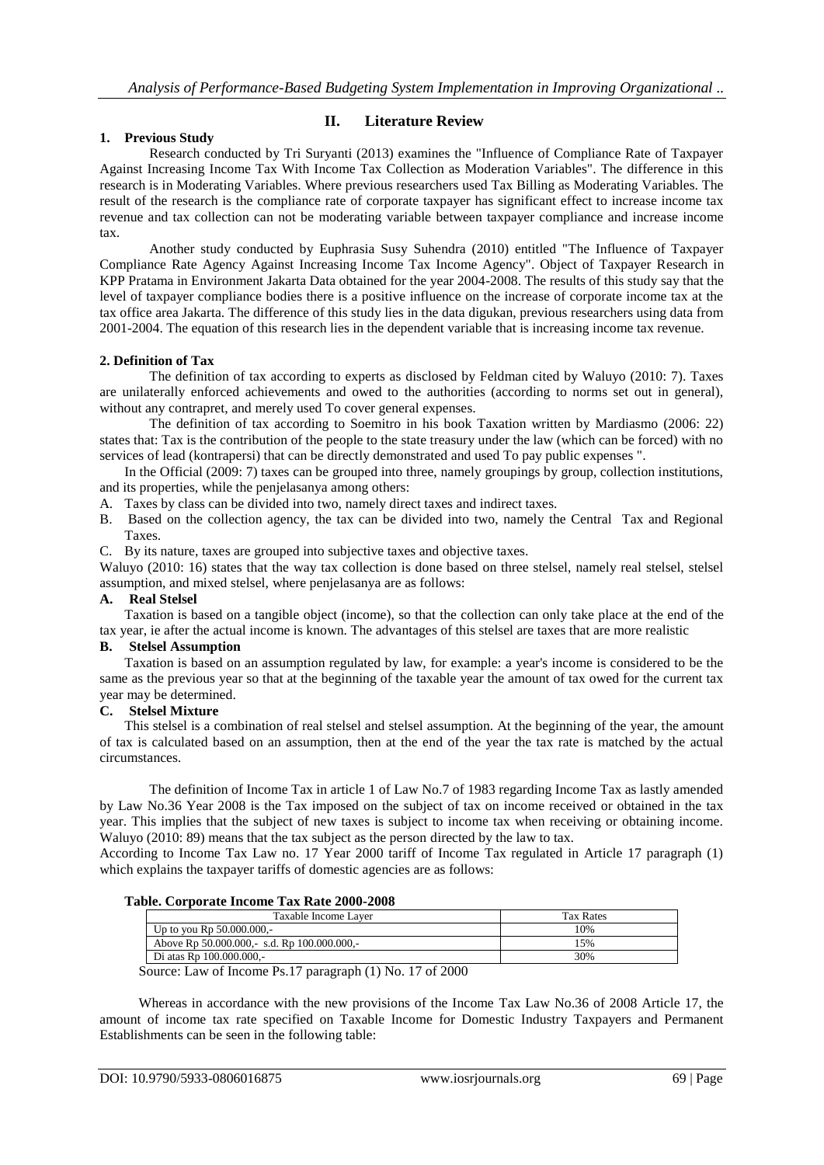### **1. Previous Study**

#### **II. Literature Review**

Research conducted by Tri Suryanti (2013) examines the "Influence of Compliance Rate of Taxpayer Against Increasing Income Tax With Income Tax Collection as Moderation Variables". The difference in this research is in Moderating Variables. Where previous researchers used Tax Billing as Moderating Variables. The result of the research is the compliance rate of corporate taxpayer has significant effect to increase income tax revenue and tax collection can not be moderating variable between taxpayer compliance and increase income tax.

Another study conducted by Euphrasia Susy Suhendra (2010) entitled "The Influence of Taxpayer Compliance Rate Agency Against Increasing Income Tax Income Agency". Object of Taxpayer Research in KPP Pratama in Environment Jakarta Data obtained for the year 2004-2008. The results of this study say that the level of taxpayer compliance bodies there is a positive influence on the increase of corporate income tax at the tax office area Jakarta. The difference of this study lies in the data digukan, previous researchers using data from 2001-2004. The equation of this research lies in the dependent variable that is increasing income tax revenue.

#### **2. Definition of Tax**

The definition of tax according to experts as disclosed by Feldman cited by Waluyo (2010: 7). Taxes are unilaterally enforced achievements and owed to the authorities (according to norms set out in general), without any contrapret, and merely used To cover general expenses.

The definition of tax according to Soemitro in his book Taxation written by Mardiasmo (2006: 22) states that: Tax is the contribution of the people to the state treasury under the law (which can be forced) with no services of lead (kontrapersi) that can be directly demonstrated and used To pay public expenses ".

In the Official (2009: 7) taxes can be grouped into three, namely groupings by group, collection institutions, and its properties, while the penjelasanya among others:

- A. Taxes by class can be divided into two, namely direct taxes and indirect taxes.
- B. Based on the collection agency, the tax can be divided into two, namely the Central Tax and Regional Taxes.
- C. By its nature, taxes are grouped into subjective taxes and objective taxes.

Waluyo (2010: 16) states that the way tax collection is done based on three stelsel, namely real stelsel, stelsel assumption, and mixed stelsel, where penjelasanya are as follows:

#### **A. Real Stelsel**

Taxation is based on a tangible object (income), so that the collection can only take place at the end of the tax year, ie after the actual income is known. The advantages of this stelsel are taxes that are more realistic

#### **B. Stelsel Assumption**

Taxation is based on an assumption regulated by law, for example: a year's income is considered to be the same as the previous year so that at the beginning of the taxable year the amount of tax owed for the current tax year may be determined.

#### **C. Stelsel Mixture**

This stelsel is a combination of real stelsel and stelsel assumption. At the beginning of the year, the amount of tax is calculated based on an assumption, then at the end of the year the tax rate is matched by the actual circumstances.

The definition of Income Tax in article 1 of Law No.7 of 1983 regarding Income Tax as lastly amended by Law No.36 Year 2008 is the Tax imposed on the subject of tax on income received or obtained in the tax year. This implies that the subject of new taxes is subject to income tax when receiving or obtaining income. Waluyo (2010: 89) means that the tax subject as the person directed by the law to tax.

According to Income Tax Law no. 17 Year 2000 tariff of Income Tax regulated in Article 17 paragraph (1) which explains the taxpayer tariffs of domestic agencies are as follows:

#### **Table. Corporate Income Tax Rate 2000-2008**

| Taxable Income Laver                        | <b>Tax Rates</b> |
|---------------------------------------------|------------------|
| Up to you Rp $50.000.000$ ,-                | 10%              |
| Above Rp 50.000.000.- s.d. Rp 100.000.000.- | 15%              |
| Di atas Rp 100.000.000.                     | 30%              |

Source: Law of Income Ps.17 paragraph (1) No. 17 of 2000

Whereas in accordance with the new provisions of the Income Tax Law No.36 of 2008 Article 17, the amount of income tax rate specified on Taxable Income for Domestic Industry Taxpayers and Permanent Establishments can be seen in the following table: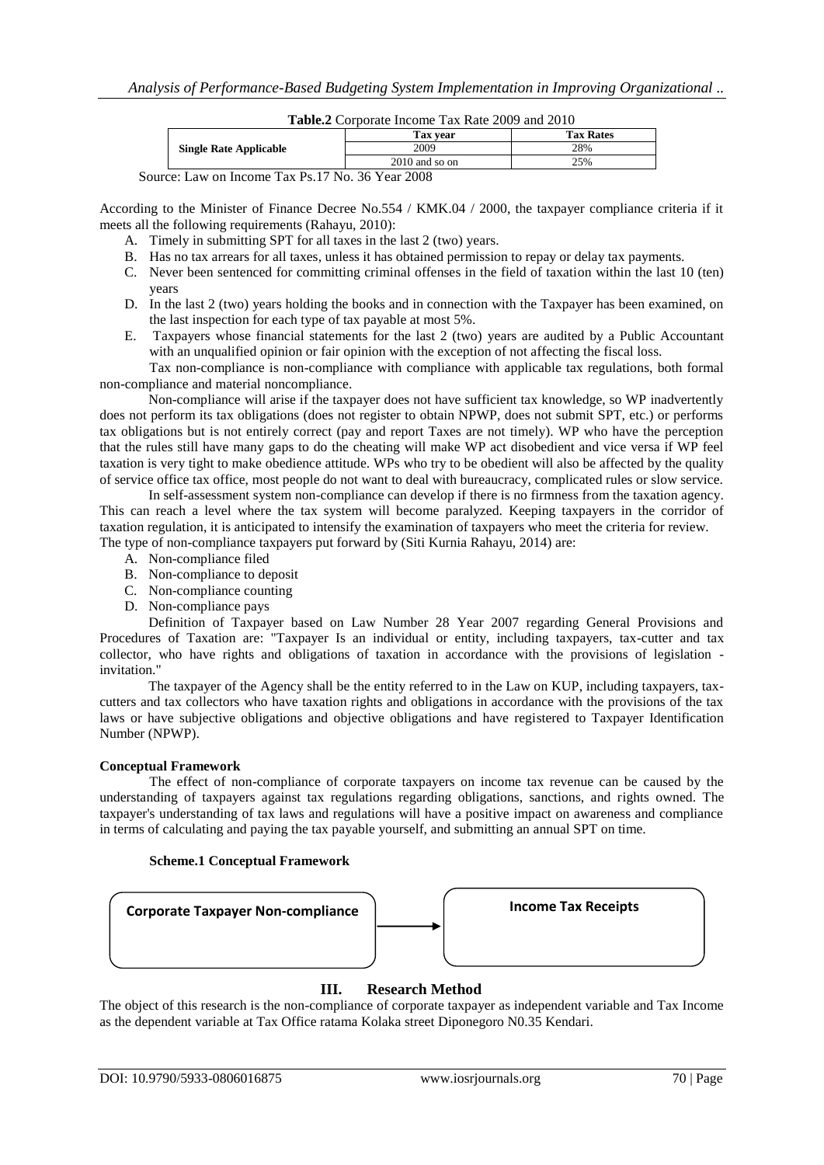| <b>Table.2</b> Corporate Income Tax Rate 2009 and 2010 |                  |                  |  |  |  |
|--------------------------------------------------------|------------------|------------------|--|--|--|
|                                                        | <b>Tax vear</b>  | <b>Tax Rates</b> |  |  |  |
| <b>Single Rate Applicable</b>                          | 2009             | 28%              |  |  |  |
|                                                        | $2010$ and so on | 25%              |  |  |  |

Source: Law on Income Tax Ps.17 No. 36 Year 2008

According to the Minister of Finance Decree No.554 / KMK.04 / 2000, the taxpayer compliance criteria if it meets all the following requirements (Rahayu, 2010):

- A. Timely in submitting SPT for all taxes in the last 2 (two) years.
- B. Has no tax arrears for all taxes, unless it has obtained permission to repay or delay tax payments.
- C. Never been sentenced for committing criminal offenses in the field of taxation within the last 10 (ten) years
- D. In the last 2 (two) years holding the books and in connection with the Taxpayer has been examined, on the last inspection for each type of tax payable at most 5%.
- E. Taxpayers whose financial statements for the last 2 (two) years are audited by a Public Accountant with an unqualified opinion or fair opinion with the exception of not affecting the fiscal loss.

Tax non-compliance is non-compliance with compliance with applicable tax regulations, both formal non-compliance and material noncompliance.

Non-compliance will arise if the taxpayer does not have sufficient tax knowledge, so WP inadvertently does not perform its tax obligations (does not register to obtain NPWP, does not submit SPT, etc.) or performs tax obligations but is not entirely correct (pay and report Taxes are not timely). WP who have the perception that the rules still have many gaps to do the cheating will make WP act disobedient and vice versa if WP feel taxation is very tight to make obedience attitude. WPs who try to be obedient will also be affected by the quality of service office tax office, most people do not want to deal with bureaucracy, complicated rules or slow service.

In self-assessment system non-compliance can develop if there is no firmness from the taxation agency. This can reach a level where the tax system will become paralyzed. Keeping taxpayers in the corridor of taxation regulation, it is anticipated to intensify the examination of taxpayers who meet the criteria for review. The type of non-compliance taxpayers put forward by (Siti Kurnia Rahayu, 2014) are:

- A. Non-compliance filed
- B. Non-compliance to deposit
- C. Non-compliance counting
- D. Non-compliance pays

Definition of Taxpayer based on Law Number 28 Year 2007 regarding General Provisions and Procedures of Taxation are: "Taxpayer Is an individual or entity, including taxpayers, tax-cutter and tax collector, who have rights and obligations of taxation in accordance with the provisions of legislation invitation."

The taxpayer of the Agency shall be the entity referred to in the Law on KUP, including taxpayers, taxcutters and tax collectors who have taxation rights and obligations in accordance with the provisions of the tax laws or have subjective obligations and objective obligations and have registered to Taxpayer Identification Number (NPWP).

#### **Conceptual Framework**

The effect of non-compliance of corporate taxpayers on income tax revenue can be caused by the understanding of taxpayers against tax regulations regarding obligations, sanctions, and rights owned. The taxpayer's understanding of tax laws and regulations will have a positive impact on awareness and compliance in terms of calculating and paying the tax payable yourself, and submitting an annual SPT on time.

#### **Scheme.1 Conceptual Framework**



# **III. Research Method**

The object of this research is the non-compliance of corporate taxpayer as independent variable and Tax Income as the dependent variable at Tax Office ratama Kolaka street Diponegoro N0.35 Kendari.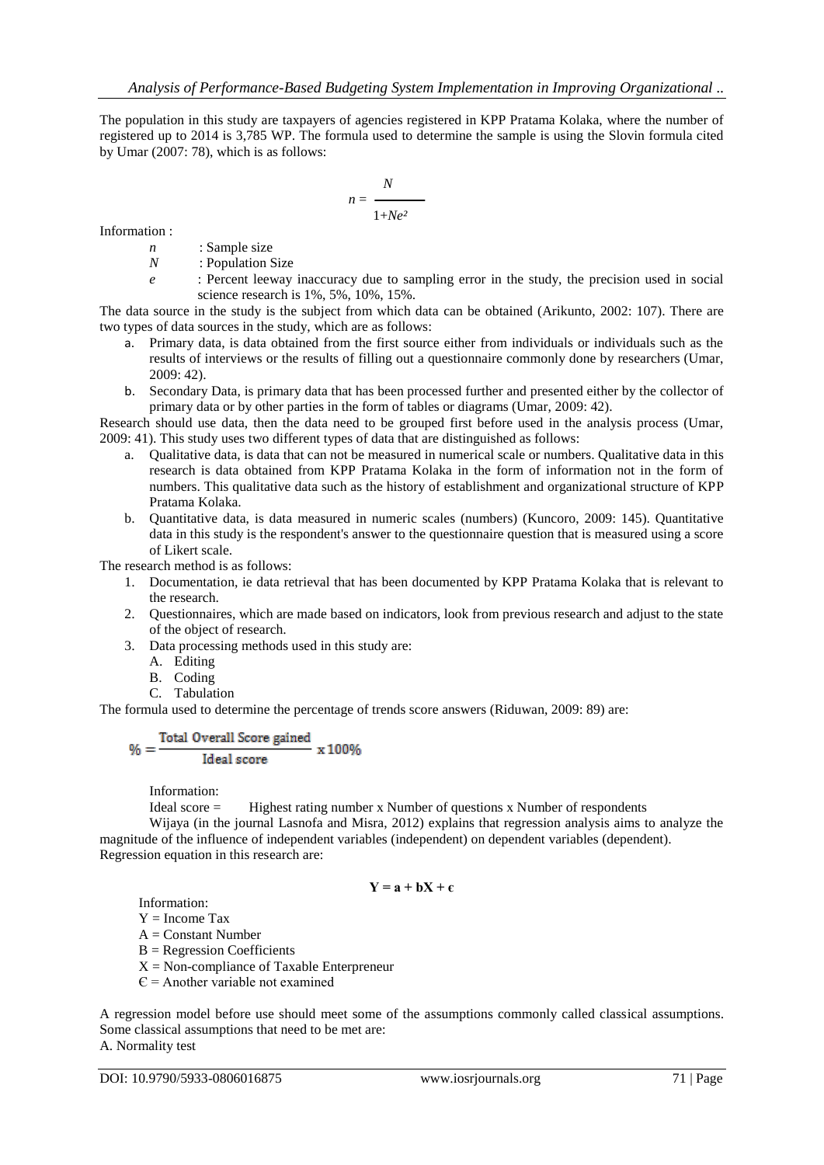The population in this study are taxpayers of agencies registered in KPP Pratama Kolaka, where the number of registered up to 2014 is 3,785 WP. The formula used to determine the sample is using the Slovin formula cited by Umar (2007: 78), which is as follows:

$$
n = \frac{N}{1 + Ne^2}
$$

Information :

*n* : Sample size

- *N* : Population Size
- *e* : Percent leeway inaccuracy due to sampling error in the study, the precision used in social science research is 1%, 5%, 10%, 15%.

The data source in the study is the subject from which data can be obtained (Arikunto, 2002: 107). There are two types of data sources in the study, which are as follows:

- a. Primary data, is data obtained from the first source either from individuals or individuals such as the results of interviews or the results of filling out a questionnaire commonly done by researchers (Umar, 2009: 42).
- b. Secondary Data, is primary data that has been processed further and presented either by the collector of primary data or by other parties in the form of tables or diagrams (Umar, 2009: 42).

Research should use data, then the data need to be grouped first before used in the analysis process (Umar, 2009: 41). This study uses two different types of data that are distinguished as follows:

- a. Qualitative data, is data that can not be measured in numerical scale or numbers. Qualitative data in this research is data obtained from KPP Pratama Kolaka in the form of information not in the form of numbers. This qualitative data such as the history of establishment and organizational structure of KPP Pratama Kolaka.
- b. Quantitative data, is data measured in numeric scales (numbers) (Kuncoro, 2009: 145). Quantitative data in this study is the respondent's answer to the questionnaire question that is measured using a score of Likert scale.

The research method is as follows:

- 1. Documentation, ie data retrieval that has been documented by KPP Pratama Kolaka that is relevant to the research.
- 2. Questionnaires, which are made based on indicators, look from previous research and adjust to the state of the object of research.
- 3. Data processing methods used in this study are:
	- A. Editing
	- B. Coding
	- C. Tabulation

The formula used to determine the percentage of trends score answers (Riduwan, 2009: 89) are:

$$
\% = \frac{\text{Total Overall Score gained}}{\text{Ideal score}} \times 100\%
$$

Information:

Ideal score  $=$  Highest rating number x Number of questions x Number of respondents

Wijaya (in the journal Lasnofa and Misra, 2012) explains that regression analysis aims to analyze the magnitude of the influence of independent variables (independent) on dependent variables (dependent). Regression equation in this research are:

$$
\mathbf{Y} = \mathbf{a} + \mathbf{b}\mathbf{X} + \boldsymbol{\varepsilon}
$$

Information:

 $Y = Income Tax$ 

- A = Constant Number
- $B = Regression Coefficients$
- $X = Non-compliance of Taxable Enterprise$
- $\epsilon$  = Another variable not examined

A regression model before use should meet some of the assumptions commonly called classical assumptions. Some classical assumptions that need to be met are: A. Normality test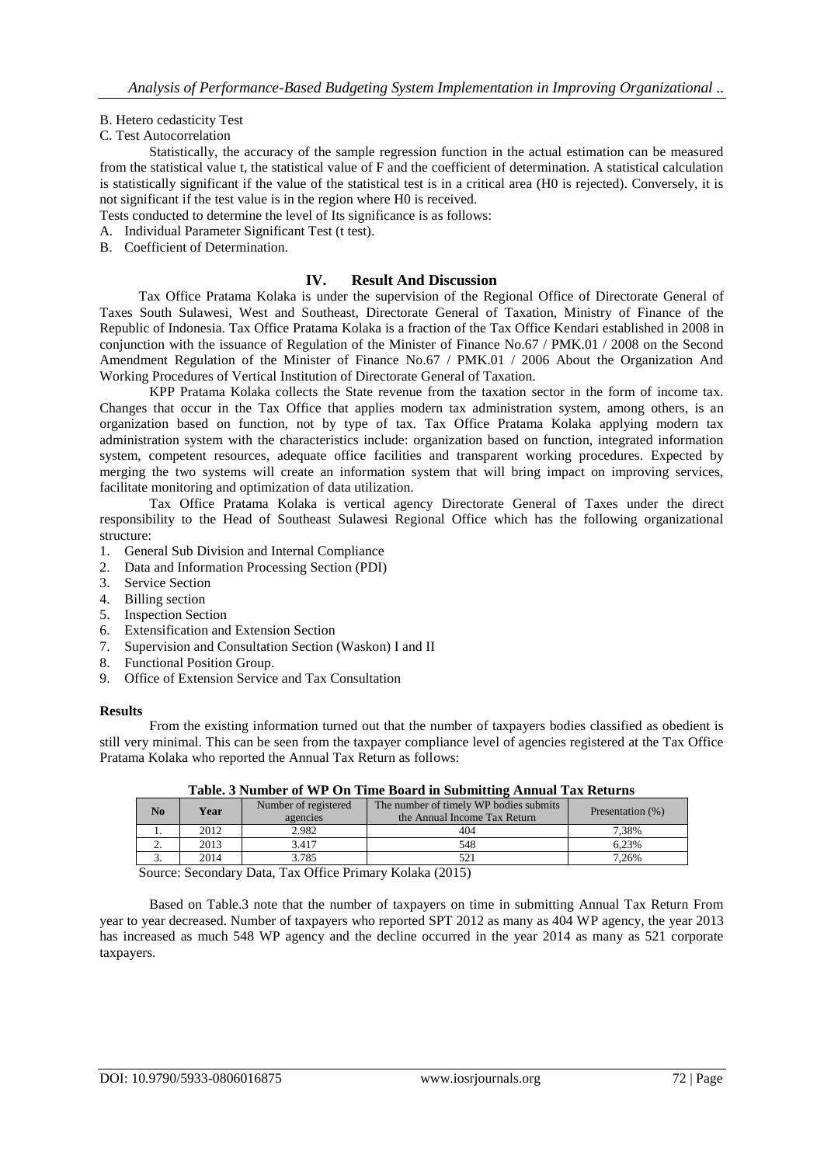# B. Hetero cedasticity Test

C. Test Autocorrelation

Statistically, the accuracy of the sample regression function in the actual estimation can be measured from the statistical value t, the statistical value of F and the coefficient of determination. A statistical calculation is statistically significant if the value of the statistical test is in a critical area (H0 is rejected). Conversely, it is not significant if the test value is in the region where H0 is received.

Tests conducted to determine the level of Its significance is as follows:

- A. Individual Parameter Significant Test (t test).
- B. Coefficient of Determination.

# **IV. Result And Discussion**

Tax Office Pratama Kolaka is under the supervision of the Regional Office of Directorate General of Taxes South Sulawesi, West and Southeast, Directorate General of Taxation, Ministry of Finance of the Republic of Indonesia. Tax Office Pratama Kolaka is a fraction of the Tax Office Kendari established in 2008 in conjunction with the issuance of Regulation of the Minister of Finance No.67 / PMK.01 / 2008 on the Second Amendment Regulation of the Minister of Finance No.67 / PMK.01 / 2006 About the Organization And Working Procedures of Vertical Institution of Directorate General of Taxation.

KPP Pratama Kolaka collects the State revenue from the taxation sector in the form of income tax. Changes that occur in the Tax Office that applies modern tax administration system, among others, is an organization based on function, not by type of tax. Tax Office Pratama Kolaka applying modern tax administration system with the characteristics include: organization based on function, integrated information system, competent resources, adequate office facilities and transparent working procedures. Expected by merging the two systems will create an information system that will bring impact on improving services, facilitate monitoring and optimization of data utilization.

Tax Office Pratama Kolaka is vertical agency Directorate General of Taxes under the direct responsibility to the Head of Southeast Sulawesi Regional Office which has the following organizational structure:

- 1. General Sub Division and Internal Compliance
- 2. Data and Information Processing Section (PDI)
- 3. Service Section
- 4. Billing section
- 5. Inspection Section
- 6. Extensification and Extension Section
- 7. Supervision and Consultation Section (Waskon) I and II
- 8. Functional Position Group.
- 9. Office of Extension Service and Tax Consultation

#### **Results**

From the existing information turned out that the number of taxpayers bodies classified as obedient is still very minimal. This can be seen from the taxpayer compliance level of agencies registered at the Tax Office Pratama Kolaka who reported the Annual Tax Return as follows:

|                | Tuble: 0 Framber of 111 On Thile Dout'd in Dublinting Thingui Tux Inclui iib |                                          |                                                                        |                  |  |  |  |  |  |
|----------------|------------------------------------------------------------------------------|------------------------------------------|------------------------------------------------------------------------|------------------|--|--|--|--|--|
| N <sub>0</sub> | Year                                                                         | Number of registered<br>agencies         | The number of timely WP bodies submits<br>the Annual Income Tax Return | Presentation (%) |  |  |  |  |  |
|                | 2012                                                                         | 2.982                                    | 404                                                                    | 7.38%            |  |  |  |  |  |
| ۷.             | 2013                                                                         | 3.417                                    | 548                                                                    | 6.23%            |  |  |  |  |  |
| J.             | 2014                                                                         | 3.785                                    | 521                                                                    | 7.26%            |  |  |  |  |  |
| $\sim$         | $\sim$<br>$\sim$                                                             | $\sim$ $\sim$<br>- -<br>$\sim$<br>$\sim$ | -- - -<br>$\sim$ $\sim$ $\sim$ $\sim$ $\sim$ $\sim$                    |                  |  |  |  |  |  |

|  |  |  |  | Table. 3 Number of WP On Time Board in Submitting Annual Tax Returns |  |  |
|--|--|--|--|----------------------------------------------------------------------|--|--|
|  |  |  |  |                                                                      |  |  |

Source: Secondary Data, Tax Office Primary Kolaka (2015)

Based on Table.3 note that the number of taxpayers on time in submitting Annual Tax Return From year to year decreased. Number of taxpayers who reported SPT 2012 as many as 404 WP agency, the year 2013 has increased as much 548 WP agency and the decline occurred in the year 2014 as many as 521 corporate taxpayers.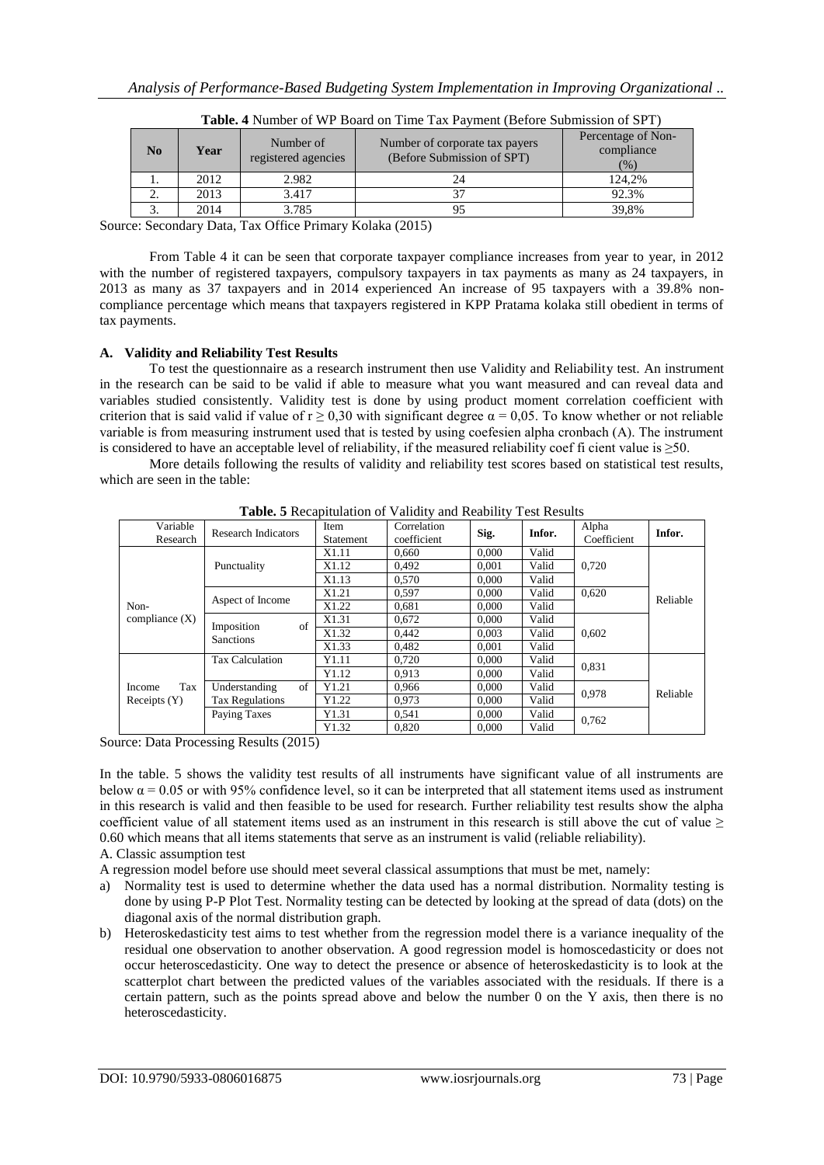| No | Year | Number of<br>registered agencies | Number of corporate tax payers<br>(Before Submission of SPT) | Percentage of Non-<br>compliance<br>(% ) |
|----|------|----------------------------------|--------------------------------------------------------------|------------------------------------------|
|    | 2012 | 2.982                            | 24                                                           | 124,2%                                   |
|    | 2013 | 3.417                            |                                                              | 92.3%                                    |
|    | 2014 | 3.785                            |                                                              | 39,8%                                    |

| <b>Table. 4</b> Number of WP Board on Time Tax Payment (Before Submission of SPT) |  |
|-----------------------------------------------------------------------------------|--|
|-----------------------------------------------------------------------------------|--|

Source: Secondary Data, Tax Office Primary Kolaka (2015)

From Table 4 it can be seen that corporate taxpayer compliance increases from year to year, in 2012 with the number of registered taxpayers, compulsory taxpayers in tax payments as many as 24 taxpayers, in 2013 as many as 37 taxpayers and in 2014 experienced An increase of 95 taxpayers with a 39.8% noncompliance percentage which means that taxpayers registered in KPP Pratama kolaka still obedient in terms of tax payments.

# **A. Validity and Reliability Test Results**

To test the questionnaire as a research instrument then use Validity and Reliability test. An instrument in the research can be said to be valid if able to measure what you want measured and can reveal data and variables studied consistently. Validity test is done by using product moment correlation coefficient with criterion that is said valid if value of  $r \ge 0.30$  with significant degree  $\alpha = 0.05$ . To know whether or not reliable variable is from measuring instrument used that is tested by using coefesien alpha cronbach (Α). The instrument is considered to have an acceptable level of reliability, if the measured reliability coef fi cient value is  $\geq 50$ .

More details following the results of validity and reliability test scores based on statistical test results, which are seen in the table:

| Variable<br>Research | <b>Table.</b> O Recapitulation of yanualy and readmity Test Results<br><b>Research Indicators</b> | Item<br>Statement | Correlation<br>coefficient | Sig.  | Infor. | Alpha<br>Coefficient | Infor.   |
|----------------------|---------------------------------------------------------------------------------------------------|-------------------|----------------------------|-------|--------|----------------------|----------|
|                      |                                                                                                   | X1.11             | 0.660                      | 0.000 | Valid  |                      |          |
|                      | Punctuality                                                                                       | X1.12             | 0.492                      | 0.001 | Valid  | 0,720                |          |
|                      |                                                                                                   |                   |                            |       |        |                      | Reliable |
|                      |                                                                                                   | X1.13             | 0,570                      | 0,000 | Valid  |                      |          |
|                      | Aspect of Income                                                                                  | X1.21             | 0.597                      | 0.000 | Valid  | 0,620                |          |
| Non-                 |                                                                                                   | X1.22             | 0,681                      | 0,000 | Valid  |                      |          |
| compliance $(X)$     | of<br>Imposition<br><b>Sanctions</b>                                                              | X1.31             | 0.672                      | 0.000 | Valid  |                      |          |
|                      |                                                                                                   | X1.32             | 0.442                      | 0.003 | Valid  | 0,602                |          |
|                      |                                                                                                   | X1.33             | 0.482                      | 0.001 | Valid  |                      |          |
|                      | <b>Tax Calculation</b>                                                                            | Y1.11             | 0.720                      | 0.000 | Valid  | 0.831                |          |
|                      |                                                                                                   | Y1.12             | 0.913                      | 0.000 | Valid  |                      |          |
| Tax<br>Income        | of<br>Understanding                                                                               | Y1.21             | 0.966                      | 0.000 | Valid  | 0.978                | Reliable |
| Receipts $(Y)$       | <b>Tax Regulations</b>                                                                            | Y1.22             | 0,973                      | 0.000 | Valid  |                      |          |
|                      | Paying Taxes                                                                                      | Y1.31             | 0.541                      | 0.000 | Valid  | 0,762                |          |
|                      |                                                                                                   | Y1.32             | 0.820                      | 0.000 | Valid  |                      |          |

**Table. 5** Recapitulation of Validity and Reability Test Results

Source: Data Processing Results (2015)

In the table. 5 shows the validity test results of all instruments have significant value of all instruments are below  $\alpha$  = 0.05 or with 95% confidence level, so it can be interpreted that all statement items used as instrument in this research is valid and then feasible to be used for research. Further reliability test results show the alpha coefficient value of all statement items used as an instrument in this research is still above the cut of value  $\geq$ 0.60 which means that all items statements that serve as an instrument is valid (reliable reliability).

A. Classic assumption test

A regression model before use should meet several classical assumptions that must be met, namely:

- a) Normality test is used to determine whether the data used has a normal distribution. Normality testing is done by using P-P Plot Test. Normality testing can be detected by looking at the spread of data (dots) on the diagonal axis of the normal distribution graph.
- b) Heteroskedasticity test aims to test whether from the regression model there is a variance inequality of the residual one observation to another observation. A good regression model is homoscedasticity or does not occur heteroscedasticity. One way to detect the presence or absence of heteroskedasticity is to look at the scatterplot chart between the predicted values of the variables associated with the residuals. If there is a certain pattern, such as the points spread above and below the number 0 on the Y axis, then there is no heteroscedasticity.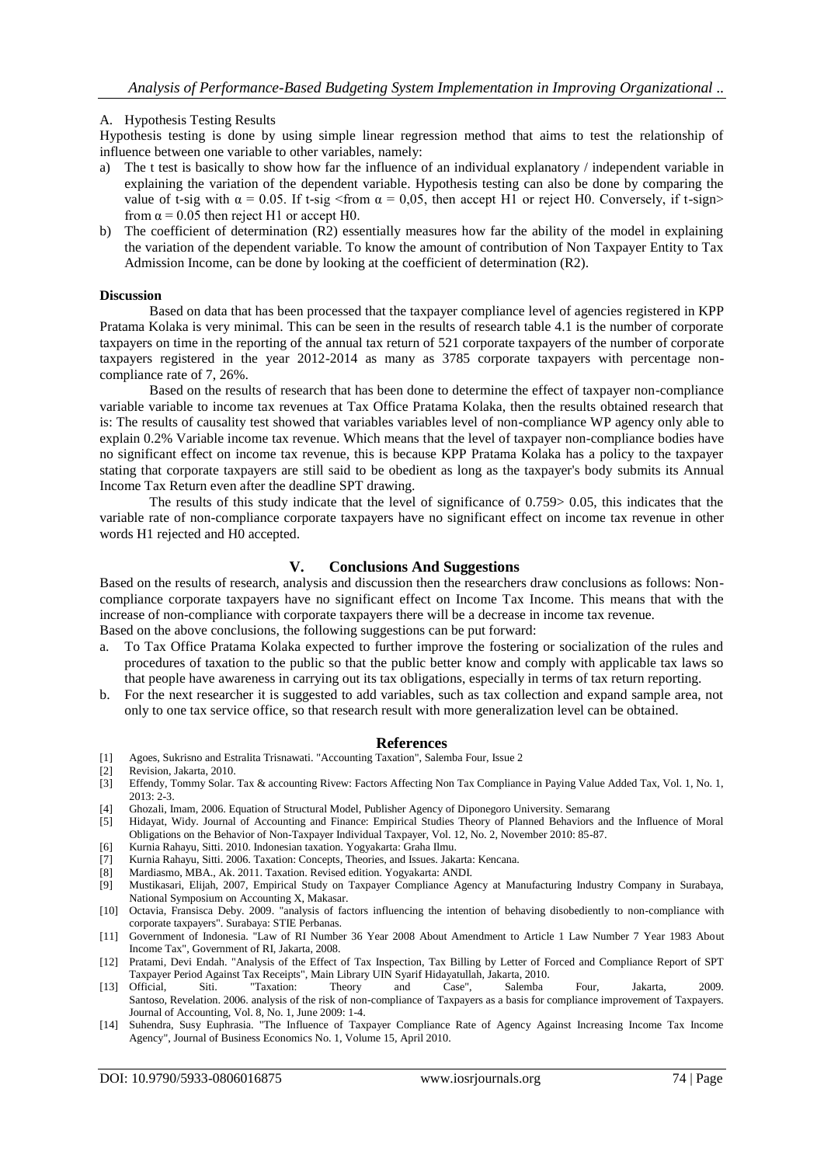#### A. Hypothesis Testing Results

Hypothesis testing is done by using simple linear regression method that aims to test the relationship of influence between one variable to other variables, namely:

- a) The t test is basically to show how far the influence of an individual explanatory / independent variable in explaining the variation of the dependent variable. Hypothesis testing can also be done by comparing the value of t-sig with  $\alpha = 0.05$ . If t-sig <from  $\alpha = 0.05$ , then accept H1 or reject H0. Conversely, if t-sign> from  $\alpha$  = 0.05 then reject H1 or accept H0.
- b) The coefficient of determination (R2) essentially measures how far the ability of the model in explaining the variation of the dependent variable. To know the amount of contribution of Non Taxpayer Entity to Tax Admission Income, can be done by looking at the coefficient of determination (R2).

#### **Discussion**

Based on data that has been processed that the taxpayer compliance level of agencies registered in KPP Pratama Kolaka is very minimal. This can be seen in the results of research table 4.1 is the number of corporate taxpayers on time in the reporting of the annual tax return of 521 corporate taxpayers of the number of corporate taxpayers registered in the year 2012-2014 as many as 3785 corporate taxpayers with percentage noncompliance rate of 7, 26%.

Based on the results of research that has been done to determine the effect of taxpayer non-compliance variable variable to income tax revenues at Tax Office Pratama Kolaka, then the results obtained research that is: The results of causality test showed that variables variables level of non-compliance WP agency only able to explain 0.2% Variable income tax revenue. Which means that the level of taxpayer non-compliance bodies have no significant effect on income tax revenue, this is because KPP Pratama Kolaka has a policy to the taxpayer stating that corporate taxpayers are still said to be obedient as long as the taxpayer's body submits its Annual Income Tax Return even after the deadline SPT drawing.

The results of this study indicate that the level of significance of 0.759> 0.05, this indicates that the variable rate of non-compliance corporate taxpayers have no significant effect on income tax revenue in other words H1 rejected and H0 accepted.

# **V. Conclusions And Suggestions**

Based on the results of research, analysis and discussion then the researchers draw conclusions as follows: Noncompliance corporate taxpayers have no significant effect on Income Tax Income. This means that with the increase of non-compliance with corporate taxpayers there will be a decrease in income tax revenue. Based on the above conclusions, the following suggestions can be put forward:

- a. To Tax Office Pratama Kolaka expected to further improve the fostering or socialization of the rules and procedures of taxation to the public so that the public better know and comply with applicable tax laws so that people have awareness in carrying out its tax obligations, especially in terms of tax return reporting.
- b. For the next researcher it is suggested to add variables, such as tax collection and expand sample area, not only to one tax service office, so that research result with more generalization level can be obtained.

#### **References**

- [1] Agoes, Sukrisno and Estralita Trisnawati. "Accounting Taxation", Salemba Four, Issue 2
- 
- [2] Revision, Jakarta, 2010.<br>[3] Effendy, Tommy Solar. Effendy, Tommy Solar. Tax & accounting Rivew: Factors Affecting Non Tax Compliance in Paying Value Added Tax, Vol. 1, No. 1, 2013: 2-3.
- [4] Ghozali, Imam, 2006. Equation of Structural Model, Publisher Agency of Diponegoro University. Semarang
- [5] Hidayat, Widy. Journal of Accounting and Finance: Empirical Studies Theory of Planned Behaviors and the Influence of Moral Obligations on the Behavior of Non-Taxpayer Individual Taxpayer, Vol. 12, No. 2, November 2010: 85-87.
- [6] Kurnia Rahayu, Sitti. 2010. Indonesian taxation. Yogyakarta: Graha Ilmu.
- [7] Kurnia Rahayu, Sitti. 2006. Taxation: Concepts, Theories, and Issues. Jakarta: Kencana.
- [8] Mardiasmo, MBA., Ak. 2011. Taxation. Revised edition. Yogyakarta: ANDI.
- [9] Mustikasari, Elijah, 2007, Empirical Study on Taxpayer Compliance Agency at Manufacturing Industry Company in Surabaya, National Symposium on Accounting X, Makasar.
- [10] Octavia, Fransisca Deby. 2009. "analysis of factors influencing the intention of behaving disobediently to non-compliance with corporate taxpayers". Surabaya: STIE Perbanas.
- [11] Government of Indonesia. "Law of RI Number 36 Year 2008 About Amendment to Article 1 Law Number 7 Year 1983 About Income Tax", Government of RI, Jakarta, 2008.
- [12] Pratami, Devi Endah. "Analysis of the Effect of Tax Inspection, Tax Billing by Letter of Forced and Compliance Report of SPT Taxpayer Period Against Tax Receipts", Main Library UIN Syarif Hidayatullah, Jakarta, 2010.
- [13] Official, Siti. "Taxation: Theory and Case", Salemba Four, Jakarta, 2009. Santoso, Revelation. 2006. analysis of the risk of non-compliance of Taxpayers as a basis for compliance improvement of Taxpayers. Journal of Accounting, Vol. 8, No. 1, June 2009: 1-4.
- [14] Suhendra, Susy Euphrasia. "The Influence of Taxpayer Compliance Rate of Agency Against Increasing Income Tax Income Agency", Journal of Business Economics No. 1, Volume 15, April 2010.